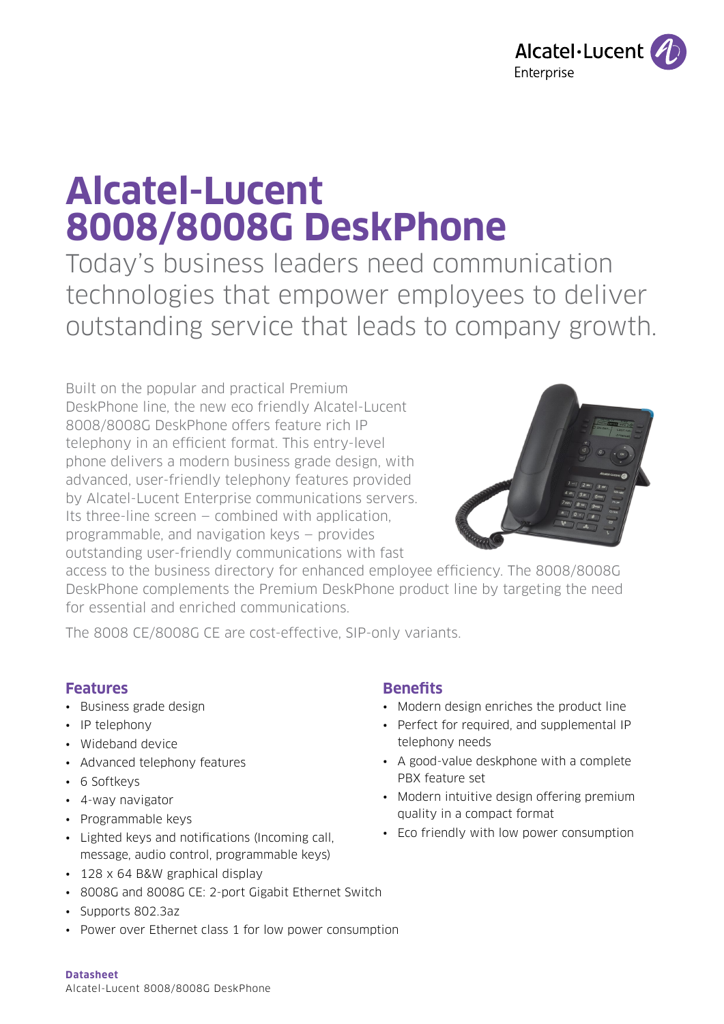

# **Alcatel-Lucent 8008/8008G DeskPhone**

Today's business leaders need communication technologies that empower employees to deliver outstanding service that leads to company growth.

Built on the popular and practical Premium DeskPhone line, the new eco friendly Alcatel-Lucent 8008/8008G DeskPhone offers feature rich IP telephony in an efficient format. This entry-level phone delivers a modern business grade design, with advanced, user-friendly telephony features provided by Alcatel-Lucent Enterprise communications servers. Its three-line screen — combined with application, programmable, and navigation keys — provides outstanding user-friendly communications with fast



access to the business directory for enhanced employee efficiency. The 8008/8008G DeskPhone complements the Premium DeskPhone product line by targeting the need for essential and enriched communications.

The 8008 CE/8008G CE are cost-effective, SIP-only variants.

# **Features**

- Business grade design
- IP telephony
- Wideband device
- Advanced telephony features
- 6 Softkeys
- 4-way navigator
- Programmable keys
- Lighted keys and notifications (Incoming call, message, audio control, programmable keys)
- 128 x 64 B&W graphical display
- 8008G and 8008G CE: 2-port Gigabit Ethernet Switch
- Supports 802.3az
- Power over Ethernet class 1 for low power consumption

## **Benefits**

- Modern design enriches the product line
- Perfect for required, and supplemental IP telephony needs
- A good-value deskphone with a complete PBX feature set
- Modern intuitive design offering premium quality in a compact format
- Eco friendly with low power consumption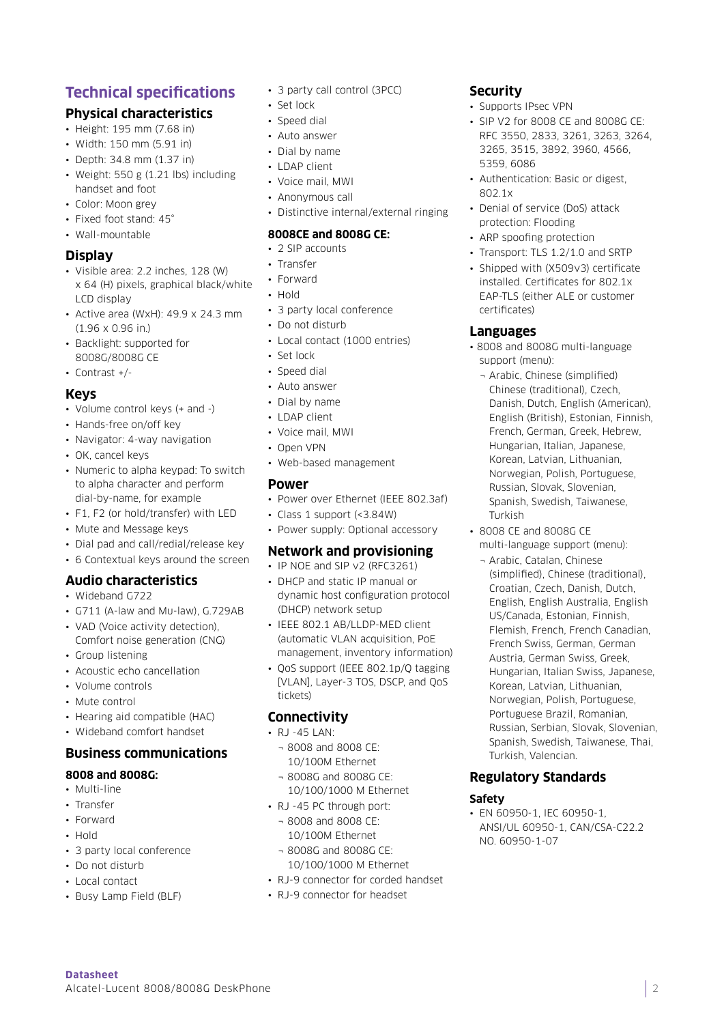# **Technical specifications**

# **Physical characteristics**

- Height: 195 mm (7.68 in)
- Width: 150 mm (5.91 in)
- Depth: 34.8 mm (1.37 in)
- Weight: 550 g (1.21 lbs) including handset and foot
- Color: Moon grey
- Fixed foot stand: 45°
- Wall-mountable

### **Display**

- Visible area: 2.2 inches, 128 (W) x 64 (H) pixels, graphical black/white LCD display
- Active area (WxH): 49.9 x 24.3 mm (1.96 x 0.96 in.)
- Backlight: supported for 8008G/8008G CE
- Contrast +/-

## **Keys**

- Volume control keys (+ and -)
- Hands-free on/off key
- Navigator: 4-way navigation
- OK, cancel keys
- Numeric to alpha keypad: To switch to alpha character and perform dial-by-name, for example
- F1, F2 (or hold/transfer) with LED
- Mute and Message keys
- Dial pad and call/redial/release key
- 6 Contextual keys around the screen

## **Audio characteristics**

- Wideband G722
- G711 (A-law and Mu-law), G.729AB
- VAD (Voice activity detection), Comfort noise generation (CNG)
- Group listening
- Acoustic echo cancellation
- Volume controls
- Mute control
- Hearing aid compatible (HAC)
- Wideband comfort handset

## **Business communications**

## **8008 and 8008G:**

- Multi-line
- Transfer
- Forward
- Hold
- 3 party local conference
- Do not disturb
- Local contact

**Datasheet** 

• Busy Lamp Field (BLF)

Alcatel-Lucent 8008/8008G DeskPhone

- 3 party call control (3PCC)
- Set lock
- Speed dial
- Auto answer
- Dial by name
- LDAP client
- Voice mail, MWI
- Anonymous call
- Distinctive internal/external ringing

#### **8008CE and 8008G CE:**

- 2 SIP accounts
- Transfer
- Forward
- Hold
- 3 party local conference
- Do not disturb
- Local contact (1000 entries)
- Set lock
- Speed dial
- Auto answer
- Dial by name
- LDAP client
- Voice mail, MWI
- Open VPN
- Web-based management

## **Power**

- Power over Ethernet (IEEE 802.3af)
- Class 1 support (<3.84W)
- Power supply: Optional accessory

## **Network and provisioning**

- IP NOE and SIP v2 (RFC3261) • DHCP and static IP manual or dynamic host configuration protocol
- (DHCP) network setup • IEEE 802.1 AB/LLDP-MED client (automatic VLAN acquisition, PoE
- management, inventory information) • QoS support (IEEE 802.1p/Q tagging [VLAN], Layer-3 TOS, DSCP, and QoS tickets)

## **Connectivity**

- RJ -45 LAN:
	- ¬ 8008 and 8008 CE: 10/100M Ethernet
	- ¬ 8008G and 8008G CE: 10/100/1000 M Ethernet
- RJ -45 PC through port:
	- ¬ 8008 and 8008 CE: 10/100M Ethernet
	- ¬ 8008G and 8008G CE: 10/100/1000 M Ethernet
- RJ-9 connector for corded handset
- RJ-9 connector for headset

# **Security**

- Supports IPsec VPN
- SIP V2 for 8008 CE and 8008G CE: RFC 3550, 2833, 3261, 3263, 3264, 3265, 3515, 3892, 3960, 4566, 5359, 6086
- Authentication: Basic or digest, 802.1x
- Denial of service (DoS) attack protection: Flooding
- ARP spoofing protection
- Transport: TLS 1.2/1.0 and SRTP
- Shipped with (X509v3) certificate installed. Certificates for 802.1x EAP-TLS (either ALE or customer certificates)

## **Languages**

- 8008 and 8008G multi-language support (menu):
	- ¬ Arabic, Chinese (simplified) Chinese (traditional), Czech, Danish, Dutch, English (American), English (British), Estonian, Finnish, French, German, Greek, Hebrew, Hungarian, Italian, Japanese, Korean, Latvian, Lithuanian, Norwegian, Polish, Portuguese, Russian, Slovak, Slovenian, Spanish, Swedish, Taiwanese, Turkish
- 8008 CE and 8008G CE multi-language support (menu):
	- ¬ Arabic, Catalan, Chinese (simplified), Chinese (traditional), Croatian, Czech, Danish, Dutch, English, English Australia, English US/Canada, Estonian, Finnish, Flemish, French, French Canadian, French Swiss, German, German Austria, German Swiss, Greek, Hungarian, Italian Swiss, Japanese, Korean, Latvian, Lithuanian, Norwegian, Polish, Portuguese, Portuguese Brazil, Romanian, Russian, Serbian, Slovak, Slovenian, Spanish, Swedish, Taiwanese, Thai, Turkish, Valencian.

2

## **Regulatory Standards**

• EN 60950-1, IEC 60950-1,

NO. 60950-1-07

ANSI/UL 60950-1, CAN/CSA-C22.2

**Safety**